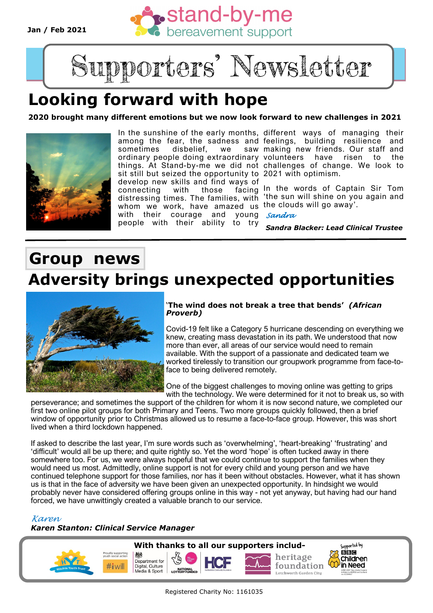**Jan / Feb 2021**





## **Looking forward with hope**

**2020 brought many different emotions but we now look forward to new challenges in 2021**



In the sunshine of the early months, different ways of managing their among the fear, the sadness and feelings, building resilience and sometimes disbelief, we ordinary people doing extraordinary volunteers have risen to the things. At Stand-by-me we did not challenges of change. We look to sit still but seized the opportunity to 2021 with optimism. develop new skills and find ways of

connecting with those facing whom we work, have amazed us the clouds will go away'. with their courage and people with their ability to try *Sandra*

saw making new friends. Our staff and

distressing times. The families, with 'the sun will shine on you again and facing In the words of Captain Sir Tom

*Sandra Blacker: Lead Clinical Trustee*

### **Group news Adversity brings unexpected opportunities**



#### '**The wind does not break a tree that bends'** *(African Proverb)*

Covid-19 felt like a Category 5 hurricane descending on everything we knew, creating mass devastation in its path. We understood that now more than ever, all areas of our service would need to remain available. With the support of a passionate and dedicated team we worked tirelessly to transition our groupwork programme from face-toface to being delivered remotely.

One of the biggest challenges to moving online was getting to grips with the technology. We were determined for it not to break us, so with

perseverance; and sometimes the support of the children for whom it is now second nature, we completed our first two online pilot groups for both Primary and Teens. Two more groups quickly followed, then a brief window of opportunity prior to Christmas allowed us to resume a face-to-face group. However, this was short lived when a third lockdown happened.

If asked to describe the last year, I'm sure words such as 'overwhelming', 'heart-breaking' 'frustrating' and 'difficult' would all be up there; and quite rightly so. Yet the word 'hope' is often tucked away in there somewhere too. For us, we were always hopeful that we could continue to support the families when they would need us most. Admittedly, online support is not for every child and young person and we have continued telephone support for those families, nor has it been without obstacles. However, what it has shown us is that in the face of adversity we have been given an unexpected opportunity. In hindsight we would probably never have considered offering groups online in this way - not yet anyway, but having had our hand forced, we have unwittingly created a valuable branch to our service.

*Karen*

*Karen Stanton: Clinical Service Manager*